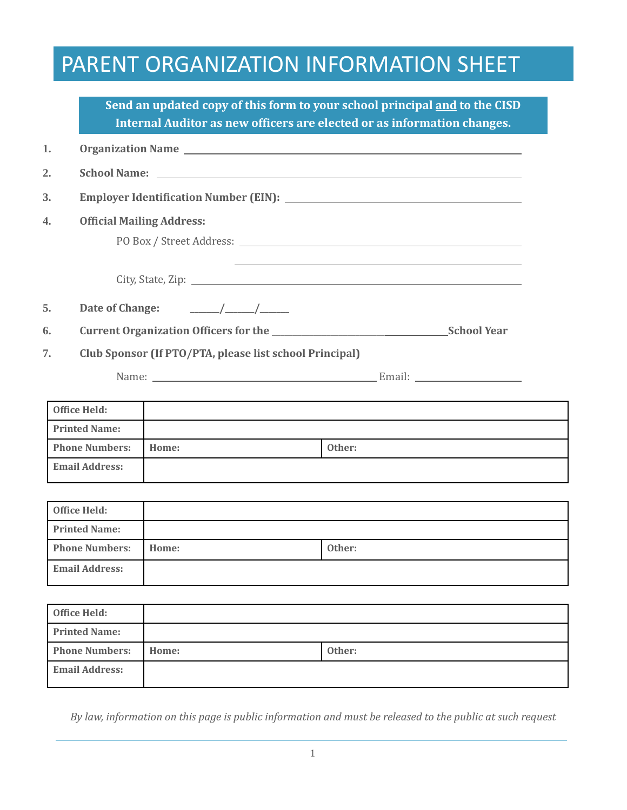## PARENT ORGANIZATION INFORMATION SHEET

|                       |                                  |                                                                                                                                                                                                                                                                                                                                                | Send an updated copy of this form to your school principal and to the CISD<br>Internal Auditor as new officers are elected or as information changes. |  |
|-----------------------|----------------------------------|------------------------------------------------------------------------------------------------------------------------------------------------------------------------------------------------------------------------------------------------------------------------------------------------------------------------------------------------|-------------------------------------------------------------------------------------------------------------------------------------------------------|--|
| 1.                    |                                  |                                                                                                                                                                                                                                                                                                                                                |                                                                                                                                                       |  |
| $\overline{2}$ .      |                                  |                                                                                                                                                                                                                                                                                                                                                |                                                                                                                                                       |  |
| 3.                    |                                  |                                                                                                                                                                                                                                                                                                                                                |                                                                                                                                                       |  |
| $\overline{4}$ .      | <b>Official Mailing Address:</b> |                                                                                                                                                                                                                                                                                                                                                |                                                                                                                                                       |  |
|                       |                                  |                                                                                                                                                                                                                                                                                                                                                |                                                                                                                                                       |  |
|                       |                                  |                                                                                                                                                                                                                                                                                                                                                |                                                                                                                                                       |  |
| 5.                    | Date of Change:                  | $\frac{\frac{1}{2}}{\frac{1}{2}}$ $\frac{\frac{1}{2}}{\frac{1}{2}}$ $\frac{\frac{1}{2}}{\frac{1}{2}}$ $\frac{1}{2}$ $\frac{1}{2}$ $\frac{1}{2}$ $\frac{1}{2}$ $\frac{1}{2}$ $\frac{1}{2}$ $\frac{1}{2}$ $\frac{1}{2}$ $\frac{1}{2}$ $\frac{1}{2}$ $\frac{1}{2}$ $\frac{1}{2}$ $\frac{1}{2}$ $\frac{1}{2}$ $\frac{1}{2}$ $\frac{1}{2}$ $\frac{$ |                                                                                                                                                       |  |
| 6.                    |                                  |                                                                                                                                                                                                                                                                                                                                                |                                                                                                                                                       |  |
| 7.                    |                                  | Club Sponsor (If PTO/PTA, please list school Principal)                                                                                                                                                                                                                                                                                        |                                                                                                                                                       |  |
|                       |                                  |                                                                                                                                                                                                                                                                                                                                                |                                                                                                                                                       |  |
|                       |                                  |                                                                                                                                                                                                                                                                                                                                                |                                                                                                                                                       |  |
|                       | <b>Office Held:</b>              |                                                                                                                                                                                                                                                                                                                                                |                                                                                                                                                       |  |
|                       | <b>Printed Name:</b>             |                                                                                                                                                                                                                                                                                                                                                |                                                                                                                                                       |  |
|                       | <b>Phone Numbers:</b>            | Home:                                                                                                                                                                                                                                                                                                                                          | Other:                                                                                                                                                |  |
|                       | <b>Email Address:</b>            |                                                                                                                                                                                                                                                                                                                                                |                                                                                                                                                       |  |
|                       | <b>Office Held:</b>              |                                                                                                                                                                                                                                                                                                                                                |                                                                                                                                                       |  |
|                       | <b>Printed Name:</b>             |                                                                                                                                                                                                                                                                                                                                                |                                                                                                                                                       |  |
| <b>Phone Numbers:</b> |                                  | Home:                                                                                                                                                                                                                                                                                                                                          | Other:                                                                                                                                                |  |
|                       | <b>Email Address:</b>            |                                                                                                                                                                                                                                                                                                                                                |                                                                                                                                                       |  |
|                       |                                  |                                                                                                                                                                                                                                                                                                                                                |                                                                                                                                                       |  |
|                       | <b>Office Held:</b>              |                                                                                                                                                                                                                                                                                                                                                |                                                                                                                                                       |  |
|                       | <b>Printed Name:</b>             |                                                                                                                                                                                                                                                                                                                                                |                                                                                                                                                       |  |
|                       | <b>Phone Numbers:</b>            | Home:                                                                                                                                                                                                                                                                                                                                          | Other:                                                                                                                                                |  |
|                       | <b>Email Address:</b>            |                                                                                                                                                                                                                                                                                                                                                |                                                                                                                                                       |  |

*By law, information on this page is public information and must be released to the public at such request*